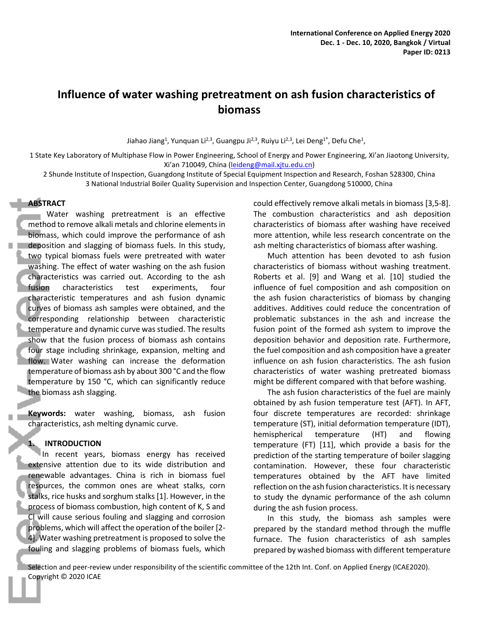# **Influence of water washing pretreatment on ash fusion characteristics of biomass**

Jiahao Jiang<sup>1</sup>, Yunquan Li<sup>2,3</sup>, Guangpu Ji<sup>2,3</sup>, Ruiyu Li<sup>2,3</sup>, Lei Deng<sup>1\*</sup>, Defu Che<sup>1</sup>,

1 State Key Laboratory of Multiphase Flow in Power Engineering, School of Energy and Power Engineering, Xi'an Jiaotong University, Xi'an 710049, China (leideng@mail.xjtu.edu.cn)

2 Shunde Institute of Inspection, Guangdong Institute of Special Equipment Inspection and Research, Foshan 528300, China 3 National Industrial Boiler Quality Supervision and Inspection Center, Guangdong 510000, China

# **ABSTRACT**

Water washing pretreatment is an effective method to remove alkali metals and chlorine elements in biomass, which could improve the performance of ash deposition and slagging of biomass fuels. In this study, two typical biomass fuels were pretreated with water washing. The effect of water washing on the ash fusion characteristics was carried out. According to the ash fusion characteristics test experiments, four characteristic temperatures and ash fusion dynamic curves of biomass ash samples were obtained, and the corresponding relationship between characteristic temperature and dynamic curve was studied. The results show that the fusion process of biomass ash contains four stage including shrinkage, expansion, melting and flow. Water washing can increase the deformation temperature of biomass ash by about 300 °C and the flow temperature by 150 °C, which can significantly reduce the biomass ash slagging.

**Keywords:** water washing, biomass, ash fusion characteristics, ash melting dynamic curve.

#### **1. INTRODUCTION**

In recent years, biomass energy has received extensive attention due to its wide distribution and renewable advantages. China is rich in biomass fuel resources, the common ones are wheat stalks, corn stalks, rice husks and sorghum stalks [1]. However, in the process of biomass combustion, high content of K, S and Cl will cause serious fouling and slagging and corrosion problems, which will affect the operation of the boiler [2- 4]. Water washing pretreatment is proposed to solve the fouling and slagging problems of biomass fuels, which

could effectively remove alkali metals in biomass [3,5-8]. The combustion characteristics and ash deposition characteristics of biomass after washing have received more attention, while less research concentrate on the ash melting characteristics of biomass after washing.

Much attention has been devoted to ash fusion characteristics of biomass without washing treatment. Roberts et al. [9] and Wang et al. [10] studied the influence of fuel composition and ash composition on the ash fusion characteristics of biomass by changing additives. Additives could reduce the concentration of problematic substances in the ash and increase the fusion point of the formed ash system to improve the deposition behavior and deposition rate. Furthermore, the fuel composition and ash composition have a greater influence on ash fusion characteristics. The ash fusion characteristics of water washing pretreated biomass might be different compared with that before washing.

The ash fusion characteristics of the fuel are mainly obtained by ash fusion temperature test (AFT). In AFT, four discrete temperatures are recorded: shrinkage temperature (ST), initial deformation temperature (IDT), hemispherical temperature (HT) and flowing temperature (FT) [11], which provide a basis for the prediction of the starting temperature of boiler slagging contamination. However, these four characteristic temperatures obtained by the AFT have limited reflection on the ash fusion characteristics. It is necessary to study the dynamic performance of the ash column during the ash fusion process.

In this study, the biomass ash samples were prepared by the standard method through the muffle furnace. The fusion characteristics of ash samples prepared by washed biomass with different temperature

Selection and peer-review under responsibility of the scientific committee of the 12th Int. Conf. on Applied Energy (ICAE2020). Copyright © 2020 ICAE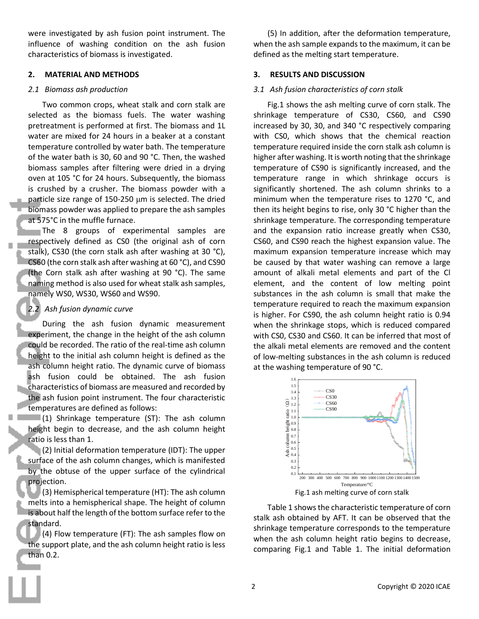were investigated by ash fusion point instrument. The influence of washing condition on the ash fusion characteristics of biomass is investigated.

#### **2. MATERIAL AND METHODS**

#### *2.1 Biomass ash production*

Two common crops, wheat stalk and corn stalk are selected as the biomass fuels. The water washing pretreatment is performed at first. The biomass and 1L water are mixed for 24 hours in a beaker at a constant temperature controlled by water bath. The temperature of the water bath is 30, 60 and 90 °C. Then, the washed biomass samples after filtering were dried in a drying oven at 105 °C for 24 hours. Subsequently, the biomass is crushed by a crusher. The biomass powder with a particle size range of 150-250 μm is selected. The dried biomass powder was applied to prepare the ash samples at 575°C in the muffle furnace.

The 8 groups of experimental samples are respectively defined as CS0 (the original ash of corn stalk), CS30 (the corn stalk ash after washing at 30 °C), CS60 (the corn stalk ash after washing at 60 °C), and CS90 (the Corn stalk ash after washing at 90 °C). The same naming method is also used for wheat stalk ash samples, namely WS0, WS30, WS60 and WS90.

### *2.2 Ash fusion dynamic curve*

During the ash fusion dynamic measurement experiment, the change in the height of the ash column could be recorded. The ratio of the real-time ash column height to the initial ash column height is defined as the ash column height ratio. The dynamic curve of biomass ash fusion could be obtained. The ash fusion characteristics of biomass are measured and recorded by the ash fusion point instrument. The four characteristic temperatures are defined as follows:

 $(1)$  Shrinkage temperature (ST): The ash column height begin to decrease, and the ash column height ratio is less than 1.

(2) Initial deformation temperature (IDT): The upper surface of the ash column changes, which is manifested by the obtuse of the upper surface of the cylindrical projection.

 $(3)$  Hemispherical temperature (HT): The ash column melts into a hemispherical shape. The height of column is about half the length of the bottom surface refer to the standard.

(4) Flow temperature (FT): The ash samples flow on the support plate, and the ash column height ratio is less than 0.2.

(5) In addition, after the deformation temperature, when the ash sample expands to the maximum, it can be defined as the melting start temperature.

### **3. RESULTS AND DISCUSSION**

### *3.1 Ash fusion characteristics of corn stalk*

Fig.1 shows the ash melting curve of corn stalk. The shrinkage temperature of CS30, CS60, and CS90 increased by 30, 30, and 340 °C respectively comparing with CS0, which shows that the chemical reaction temperature required inside the corn stalk ash column is higher after washing. It is worth noting that the shrinkage temperature of CS90 is significantly increased, and the temperature range in which shrinkage occurs is significantly shortened. The ash column shrinks to a minimum when the temperature rises to 1270 °C, and then its height begins to rise, only 30 °C higher than the shrinkage temperature. The corresponding temperature and the expansion ratio increase greatly when CS30, CS60, and CS90 reach the highest expansion value. The maximum expansion temperature increase which may be caused by that water washing can remove a large amount of alkali metal elements and part of the Cl element, and the content of low melting point substances in the ash column is small that make the temperature required to reach the maximum expansion is higher. For CS90, the ash column height ratio is 0.94 when the shrinkage stops, which is reduced compared with CS0, CS30 and CS60. It can be inferred that most of the alkali metal elements are removed and the content of low-melting substances in the ash column is reduced at the washing temperature of 90 °C.



Fig.1 ash melting curve of corn stalk

Table 1 shows the characteristic temperature of corn stalk ash obtained by AFT. It can be observed that the shrinkage temperature corresponds to the temperature when the ash column height ratio begins to decrease, comparing Fig.1 and Table 1. The initial deformation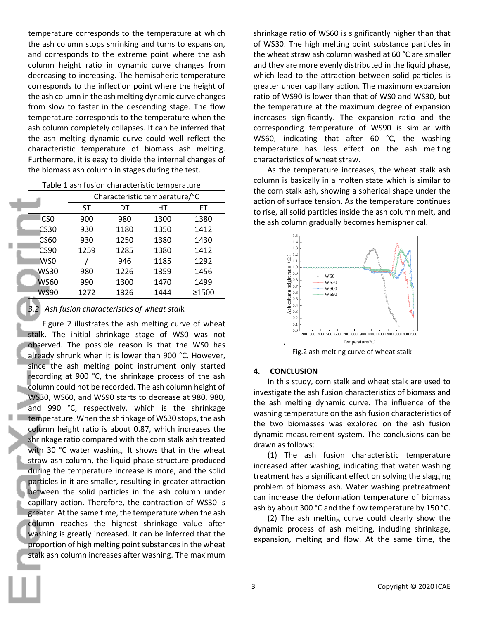temperature corresponds to the temperature at which the ash column stops shrinking and turns to expansion, and corresponds to the extreme point where the ash column height ratio in dynamic curve changes from decreasing to increasing. The hemispheric temperature corresponds to the inflection point where the height of the ash column in the ash melting dynamic curve changes from slow to faster in the descending stage. The flow temperature corresponds to the temperature when the ash column completely collapses. It can be inferred that the ash melting dynamic curve could well reflect the characteristic temperature of biomass ash melting. Furthermore, it is easy to divide the internal changes of the biomass ash column in stages during the test.

|                 |      | Characteristic temperature/°C |      |             |  |
|-----------------|------|-------------------------------|------|-------------|--|
|                 | ST   | DT                            | НT   | FT          |  |
| CS <sub>0</sub> | 900  | 980                           | 1300 | 1380        |  |
| CS30            | 930  | 1180                          | 1350 | 1412        |  |
| CS60            | 930  | 1250                          | 1380 | 1430        |  |
| <b>CS90</b>     | 1259 | 1285                          | 1380 | 1412        |  |
| WS0             |      | 946                           | 1185 | 1292        |  |
| WS30            | 980  | 1226                          | 1359 | 1456        |  |
| <b>WS60</b>     | 990  | 1300                          | 1470 | 1499        |  |
| WS90            | 1272 | 1326                          | 1444 | $\geq 1500$ |  |

*3.2 Ash fusion characteristics of wheat stal*k

Figure 2 illustrates the ash melting curve of wheat stalk. The initial shrinkage stage of WS0 was not observed. The possible reason is that the WS0 has already shrunk when it is lower than 900 °C. However, since the ash melting point instrument only started recording at 900 °C, the shrinkage process of the ash column could not be recorded. The ash column height of WS30, WS60, and WS90 starts to decrease at 980, 980, and 990 °C, respectively, which is the shrinkage temperature. When the shrinkage of WS30 stops, the ash column height ratio is about 0.87, which increases the shrinkage ratio compared with the corn stalk ash treated with 30 °C water washing. It shows that in the wheat straw ash column, the liquid phase structure produced during the temperature increase is more, and the solid particles in it are smaller, resulting in greater attraction between the solid particles in the ash column under capillary action. Therefore, the contraction of WS30 is greater. At the same time, the temperature when the ash column reaches the highest shrinkage value after washing is greatly increased. It can be inferred that the proportion of high melting point substances in the wheat stalk ash column increases after washing. The maximum

shrinkage ratio of WS60 is significantly higher than that of WS30. The high melting point substance particles in the wheat straw ash column washed at 60 °C are smaller and they are more evenly distributed in the liquid phase, which lead to the attraction between solid particles is greater under capillary action. The maximum expansion ratio of WS90 is lower than that of WS0 and WS30, but the temperature at the maximum degree of expansion increases significantly. The expansion ratio and the corresponding temperature of WS90 is similar with WS60, indicating that after 60 °C, the washing temperature has less effect on the ash melting characteristics of wheat straw.

As the temperature increases, the wheat stalk ash column is basically in a molten state which is similar to the corn stalk ash, showing a spherical shape under the action of surface tension. As the temperature continues to rise, all solid particles inside the ash column melt, and the ash column gradually becomes hemispherical.



Fig.2 ash melting curve of wheat stalk

#### **4. CONCLUSION**

In this study, corn stalk and wheat stalk are used to investigate the ash fusion characteristics of biomass and the ash melting dynamic curve. The influence of the washing temperature on the ash fusion characteristics of the two biomasses was explored on the ash fusion dynamic measurement system. The conclusions can be drawn as follows:

(1) The ash fusion characteristic temperature increased after washing, indicating that water washing treatment has a significant effect on solving the slagging problem of biomass ash. Water washing pretreatment can increase the deformation temperature of biomass ash by about 300 °C and the flow temperature by 150 °C.

(2) The ash melting curve could clearly show the dynamic process of ash melting, including shrinkage, expansion, melting and flow. At the same time, the